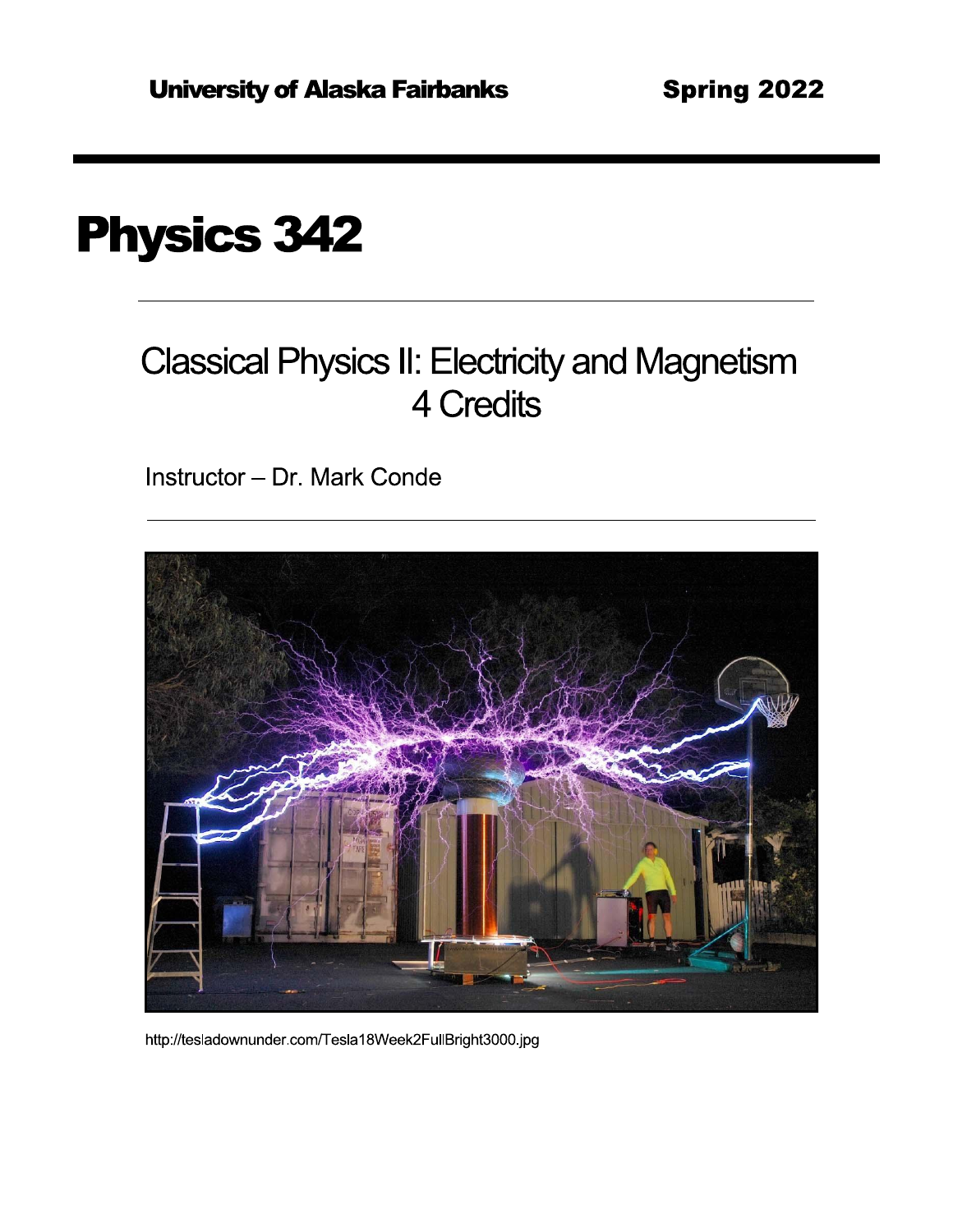# **Physics 342**

## **Classical Physics II: Electricity and Magnetism** 4 Credits

Instructor - Dr. Mark Conde



http://tesladownunder.com/Tesla18Week2FullBright3000.jpg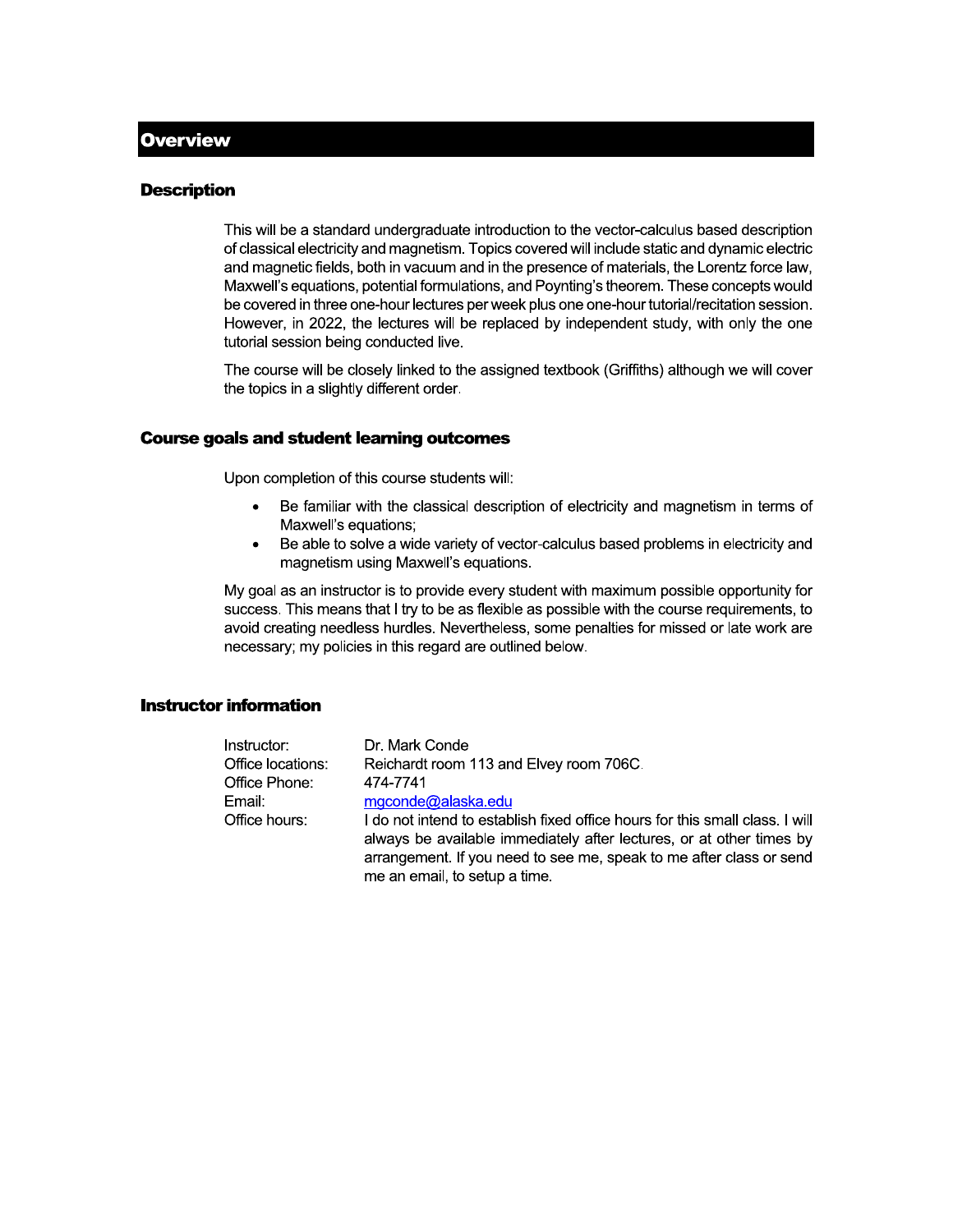#### **Description**

This will be a standard undergraduate introduction to the vector-calculus based description of classical electricity and magnetism. Topics covered will include static and dynamic electric and magnetic fields, both in vacuum and in the presence of materials, the Lorentz force law, Maxwell's equations, potential formulations, and Poynting's theorem. These concepts would be covered in three one-hour lectures per week plus one one-hour tutorial/recitation session. However, in 2022, the lectures will be replaced by independent study, with only the one tutorial session being conducted live.

The course will be closely linked to the assigned textbook (Griffiths) although we will cover the topics in a slightly different order.

#### **Course goals and student learning outcomes**

Upon completion of this course students will:

- Be familiar with the classical description of electricity and magnetism in terms of  $\bullet$ Maxwell's equations;
- Be able to solve a wide variety of vector-calculus based problems in electricity and  $\bullet$ magnetism using Maxwell's equations.

My goal as an instructor is to provide every student with maximum possible opportunity for success. This means that I try to be as flexible as possible with the course requirements, to avoid creating needless hurdles. Nevertheless, some penalties for missed or late work are necessary; my policies in this regard are outlined below.

#### **Instructor information**

| Instructor:       | Dr. Mark Conde                                                                                                                                                                                                                                               |  |  |  |
|-------------------|--------------------------------------------------------------------------------------------------------------------------------------------------------------------------------------------------------------------------------------------------------------|--|--|--|
| Office locations: | Reichardt room 113 and Elvey room 706C.                                                                                                                                                                                                                      |  |  |  |
| Office Phone:     | 474-7741                                                                                                                                                                                                                                                     |  |  |  |
| Email:            | mgconde@alaska.edu                                                                                                                                                                                                                                           |  |  |  |
| Office hours:     | I do not intend to establish fixed office hours for this small class. I will<br>always be available immediately after lectures, or at other times by<br>arrangement. If you need to see me, speak to me after class or send<br>me an email, to setup a time. |  |  |  |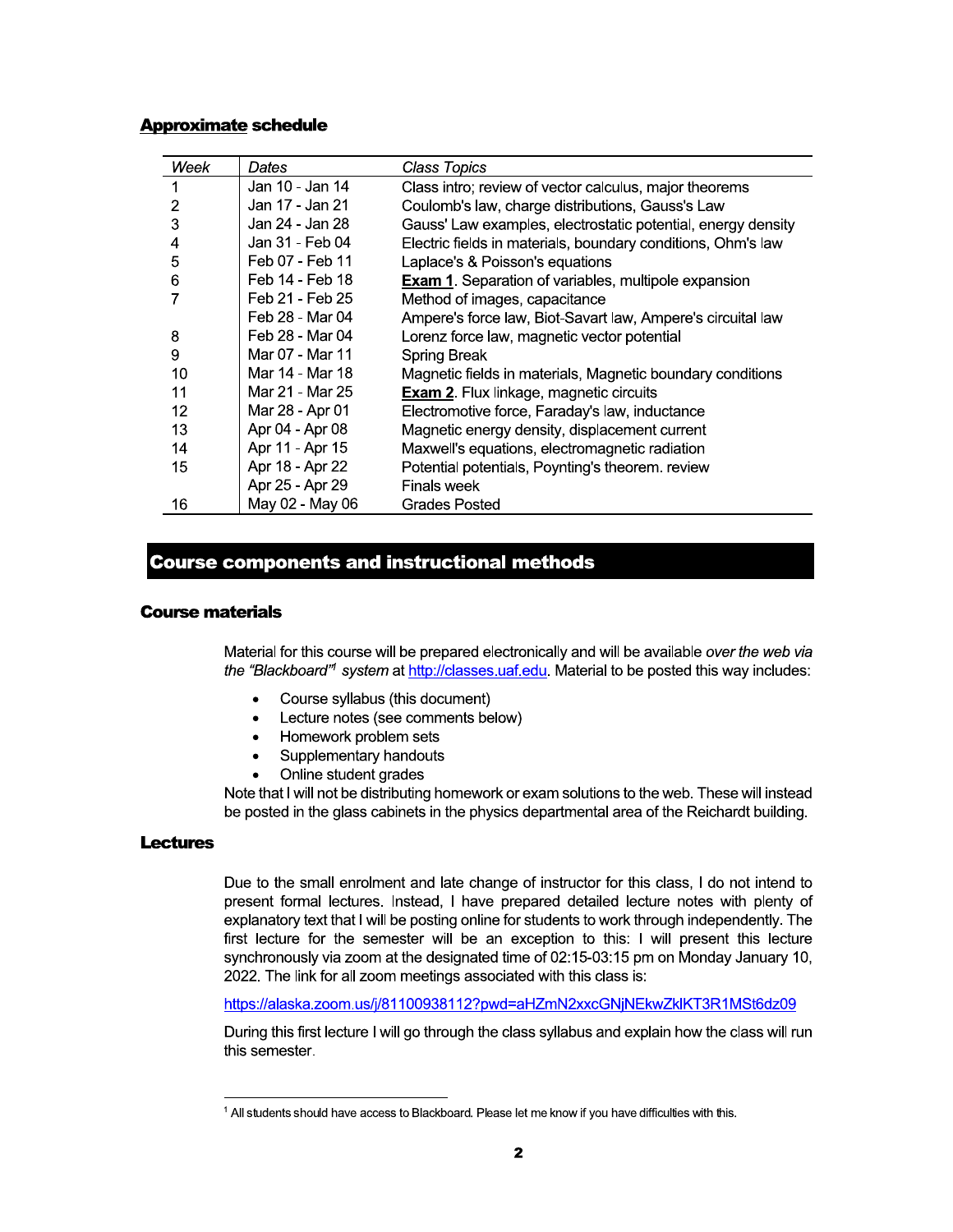#### **Approximate schedule**

| Week | Dates           | Class Topics                                                 |
|------|-----------------|--------------------------------------------------------------|
|      | Jan 10 - Jan 14 | Class intro; review of vector calculus, major theorems       |
| 2    | Jan 17 - Jan 21 | Coulomb's law, charge distributions, Gauss's Law             |
| 3    | Jan 24 - Jan 28 | Gauss' Law examples, electrostatic potential, energy density |
| 4    | Jan 31 - Feb 04 | Electric fields in materials, boundary conditions, Ohm's law |
| 5    | Feb 07 - Feb 11 | Laplace's & Poisson's equations                              |
| 6    | Feb 14 - Feb 18 | <b>Exam 1.</b> Separation of variables, multipole expansion  |
|      | Feb 21 - Feb 25 | Method of images, capacitance                                |
|      | Feb 28 - Mar 04 | Ampere's force law, Biot-Savart law, Ampere's circuital law  |
| 8    | Feb 28 - Mar 04 | Lorenz force law, magnetic vector potential                  |
| 9    | Mar 07 - Mar 11 | Spring Break                                                 |
| 10   | Mar 14 - Mar 18 | Magnetic fields in materials, Magnetic boundary conditions   |
| 11   | Mar 21 - Mar 25 | <b>Exam 2.</b> Flux linkage, magnetic circuits               |
| 12   | Mar 28 - Apr 01 | Electromotive force, Faraday's law, inductance               |
| 13   | Apr 04 - Apr 08 | Magnetic energy density, displacement current                |
| 14   | Apr 11 - Apr 15 | Maxwell's equations, electromagnetic radiation               |
| 15   | Apr 18 - Apr 22 | Potential potentials, Poynting's theorem. review             |
|      | Apr 25 - Apr 29 | Finals week                                                  |
| 16   | May 02 - May 06 | <b>Grades Posted</b>                                         |

### **Course components and instructional methods**

#### **Course materials**

Material for this course will be prepared electronically and will be available over the web via the "Blackboard" system at http://classes.uaf.edu. Material to be posted this way includes:

- $\bullet$ Course syllabus (this document)
- Lecture notes (see comments below)  $\bullet$
- Homework problem sets  $\bullet$
- Supplementary handouts  $\bullet$
- Online student grades  $\bullet$

Note that I will not be distributing homework or exam solutions to the web. These will instead be posted in the glass cabinets in the physics departmental area of the Reichardt building.

#### **Lectures**

Due to the small enrolment and late change of instructor for this class, I do not intend to present formal lectures. Instead, I have prepared detailed lecture notes with plenty of explanatory text that I will be posting online for students to work through independently. The first lecture for the semester will be an exception to this: I will present this lecture synchronously via zoom at the designated time of 02:15-03:15 pm on Monday January 10, 2022. The link for all zoom meetings associated with this class is:

https://alaska.zoom.us/j/81100938112?pwd=aHZmN2xxcGNjNEkwZklKT3R1MSt6dz09

During this first lecture I will go through the class syllabus and explain how the class will run this semester.

<sup>&</sup>lt;sup>1</sup> All students should have access to Blackboard. Please let me know if you have difficulties with this.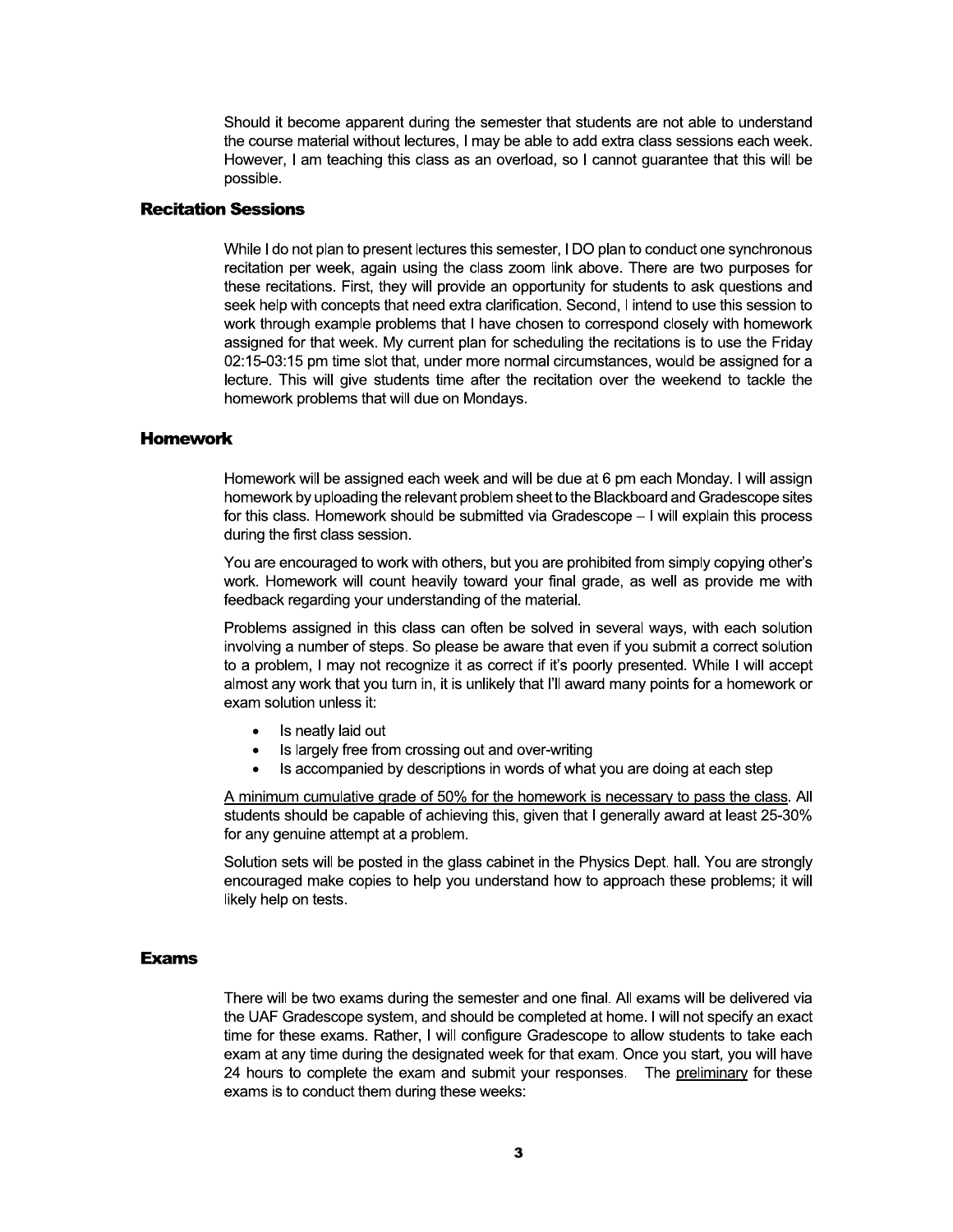Should it become apparent during the semester that students are not able to understand the course material without lectures, I may be able to add extra class sessions each week. However, I am teaching this class as an overload, so I cannot quarantee that this will be possible.

#### **Recitation Sessions**

While I do not plan to present lectures this semester, I DO plan to conduct one synchronous recitation per week, again using the class zoom link above. There are two purposes for these recitations. First, they will provide an opportunity for students to ask questions and seek help with concepts that need extra clarification. Second, I intend to use this session to work through example problems that I have chosen to correspond closely with homework assigned for that week. My current plan for scheduling the recitations is to use the Friday 02:15-03:15 pm time slot that, under more normal circumstances, would be assigned for a lecture. This will give students time after the recitation over the weekend to tackle the homework problems that will due on Mondays.

#### **Homework**

Homework will be assigned each week and will be due at 6 pm each Monday. I will assign homework by uploading the relevant problem sheet to the Blackboard and Gradescope sites for this class. Homework should be submitted via Gradescope - I will explain this process during the first class session.

You are encouraged to work with others, but you are prohibited from simply copying other's work. Homework will count heavily toward your final grade, as well as provide me with feedback regarding your understanding of the material.

Problems assigned in this class can often be solved in several ways, with each solution involving a number of steps. So please be aware that even if you submit a correct solution to a problem, I may not recognize it as correct if it's poorly presented. While I will accept almost any work that you turn in, it is unlikely that I'll award many points for a homework or exam solution unless it:

- Is neatly laid out
- Is largely free from crossing out and over-writing  $\bullet$
- Is accompanied by descriptions in words of what you are doing at each step

A minimum cumulative grade of 50% for the homework is necessary to pass the class. All students should be capable of achieving this, given that I generally award at least 25-30% for any genuine attempt at a problem.

Solution sets will be posted in the glass cabinet in the Physics Dept. hall. You are strongly encouraged make copies to help you understand how to approach these problems; it will likely help on tests.

#### **Exams**

There will be two exams during the semester and one final. All exams will be delivered via the UAF Gradescope system, and should be completed at home. I will not specify an exact time for these exams. Rather, I will configure Gradescope to allow students to take each exam at any time during the designated week for that exam. Once you start, you will have 24 hours to complete the exam and submit your responses. The preliminary for these exams is to conduct them during these weeks: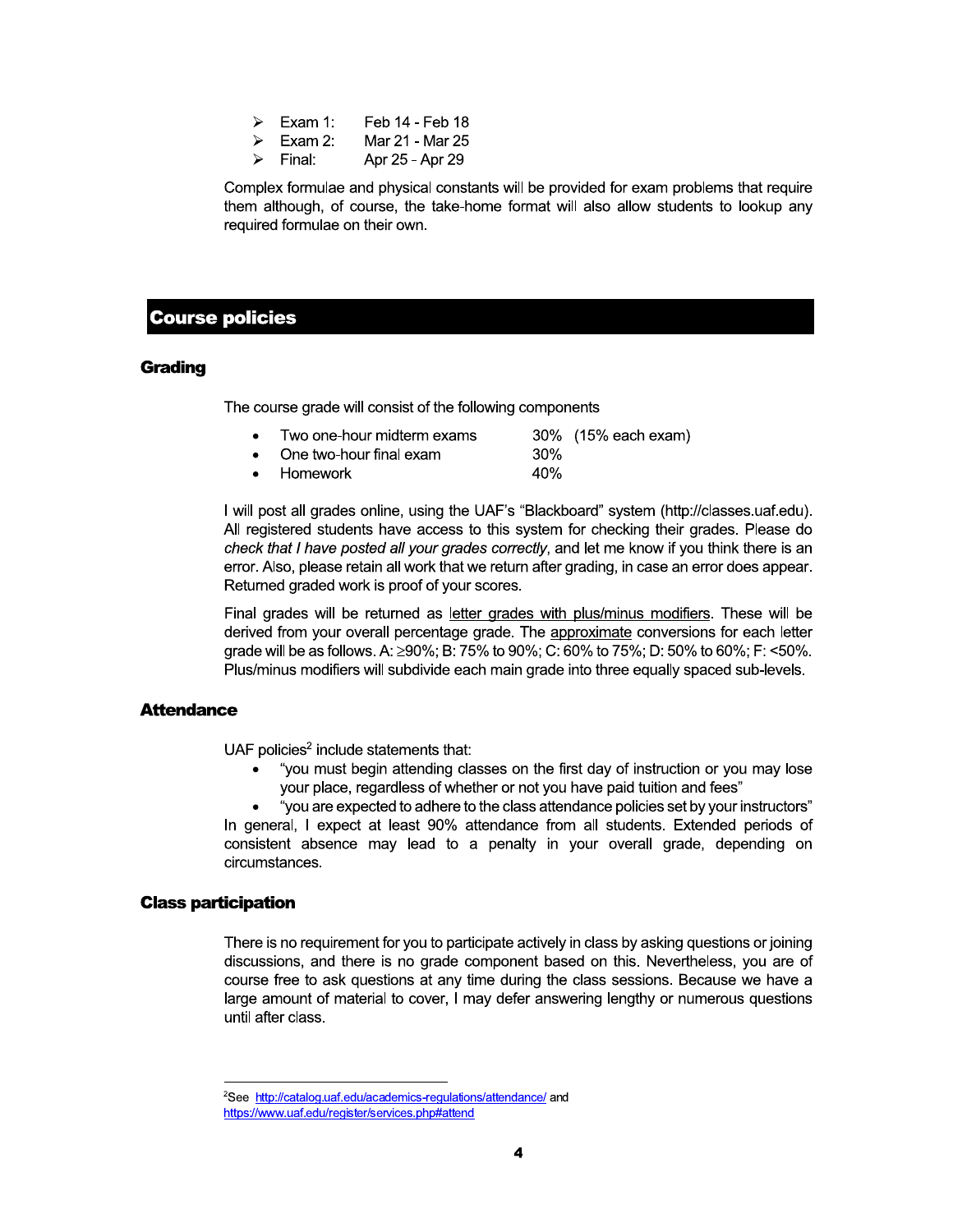- Exam 1: Feb 14 - Feb 18 ↘
- Mar 21 Mar 25 Exam  $2$ : ↘
- Final: Apr 25 - Apr 29 ↘

Complex formulae and physical constants will be provided for exam problems that require them although, of course, the take-home format will also allow students to lookup any required formulae on their own.

#### **Course policies**

#### **Grading**

The course grade will consist of the following components

| Two one-hour midterm exams        |      | 30% (15% each exam) |
|-----------------------------------|------|---------------------|
| $\bullet$ One two-hour final exam | .30% |                     |
| $\bullet$ Homework                | 40%  |                     |

I will post all grades online, using the UAF's "Blackboard" system (http://classes.uaf.edu). All registered students have access to this system for checking their grades. Please do check that I have posted all your grades correctly, and let me know if you think there is an error. Also, please retain all work that we return after grading, in case an error does appear. Returned graded work is proof of your scores.

Final grades will be returned as letter grades with plus/minus modifiers. These will be derived from your overall percentage grade. The approximate conversions for each letter grade will be as follows. A: ≥90%; B: 75% to 90%; C: 60% to 75%; D: 50% to 60%; F: <50%. Plus/minus modifiers will subdivide each main grade into three equally spaced sub-levels.

#### **Attendance**

UAF policies<sup>2</sup> include statements that:

"you must begin attending classes on the first day of instruction or you may lose your place, regardless of whether or not you have paid tuition and fees"

"you are expected to adhere to the class attendance policies set by your instructors" In general, I expect at least 90% attendance from all students. Extended periods of consistent absence may lead to a penalty in your overall grade, depending on circumstances.

#### **Class participation**

There is no requirement for you to participate actively in class by asking questions or joining discussions, and there is no grade component based on this. Nevertheless, you are of course free to ask questions at any time during the class sessions. Because we have a large amount of material to cover, I may defer answering lengthy or numerous questions until after class.

<sup>&</sup>lt;sup>2</sup>See http://catalog.uaf.edu/academics-regulations/attendance/ and https://www.uaf.edu/register/services.php#attend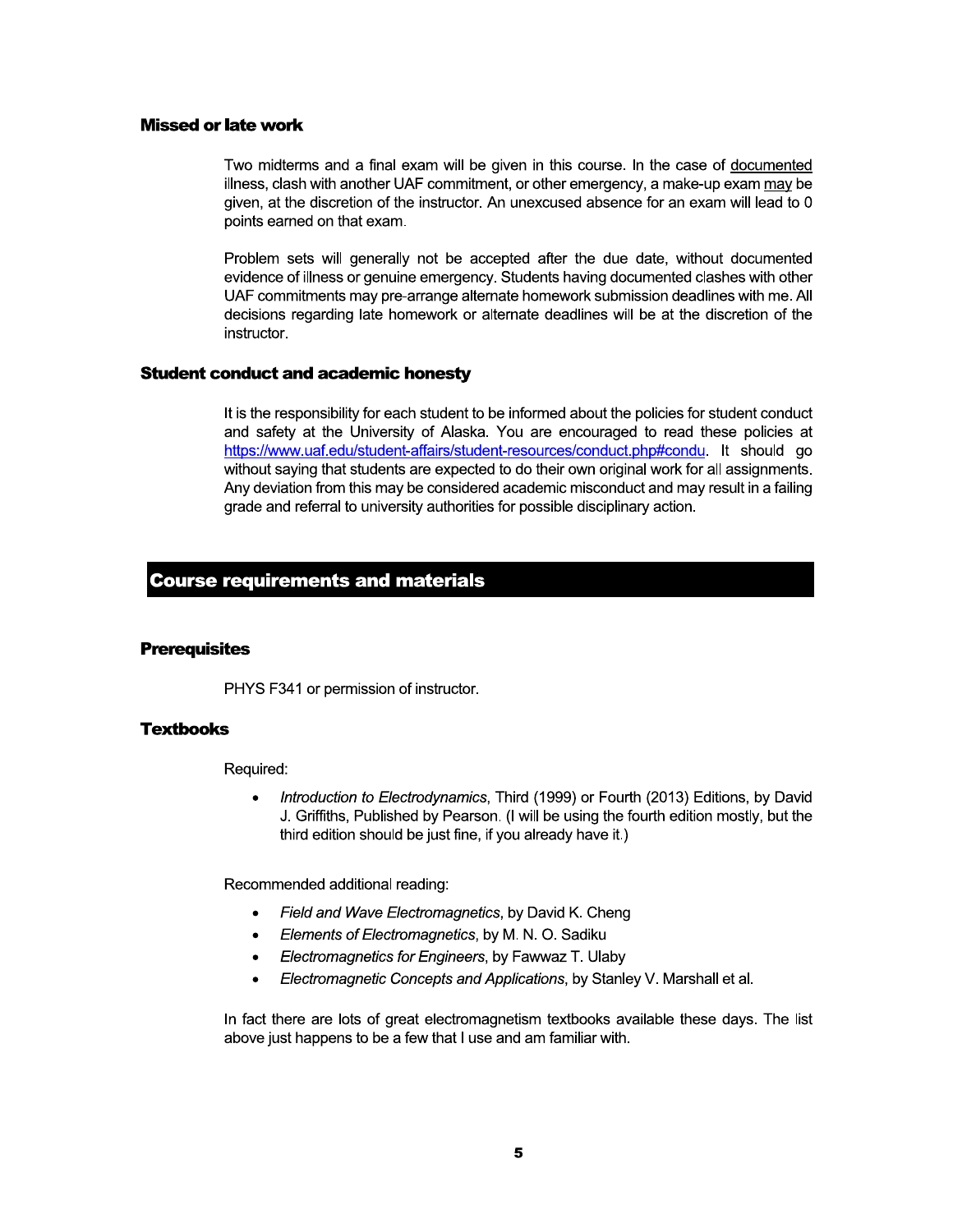#### **Missed or late work**

Two midterms and a final exam will be given in this course. In the case of documented illness, clash with another UAF commitment, or other emergency, a make-up exam may be given, at the discretion of the instructor. An unexcused absence for an exam will lead to 0 points earned on that exam.

Problem sets will generally not be accepted after the due date, without documented evidence of illness or genuine emergency. Students having documented clashes with other UAF commitments may pre-arrange alternate homework submission deadlines with me. All decisions regarding late homework or alternate deadlines will be at the discretion of the instructor.

#### **Student conduct and academic honesty**

It is the responsibility for each student to be informed about the policies for student conduct and safety at the University of Alaska. You are encouraged to read these policies at https://www.uaf.edu/student-affairs/student-resources/conduct.php#condu. It should go without saying that students are expected to do their own original work for all assignments. Any deviation from this may be considered academic misconduct and may result in a failing grade and referral to university authorities for possible disciplinary action.

#### **Course requirements and materials**

#### **Prerequisites**

PHYS F341 or permission of instructor.

#### **Textbooks**

Required:

Introduction to Electrodynamics, Third (1999) or Fourth (2013) Editions, by David J. Griffiths, Published by Pearson. (I will be using the fourth edition mostly, but the third edition should be just fine, if you already have it.)

Recommended additional reading:

- Field and Wave Electromagnetics, by David K. Cheng
- Elements of Electromagnetics, by M. N. O. Sadiku  $\bullet$
- Electromagnetics for Engineers, by Fawwaz T. Ulaby
- Electromagnetic Concepts and Applications, by Stanley V. Marshall et al.  $\bullet$

In fact there are lots of great electromagnetism textbooks available these days. The list above just happens to be a few that I use and am familiar with.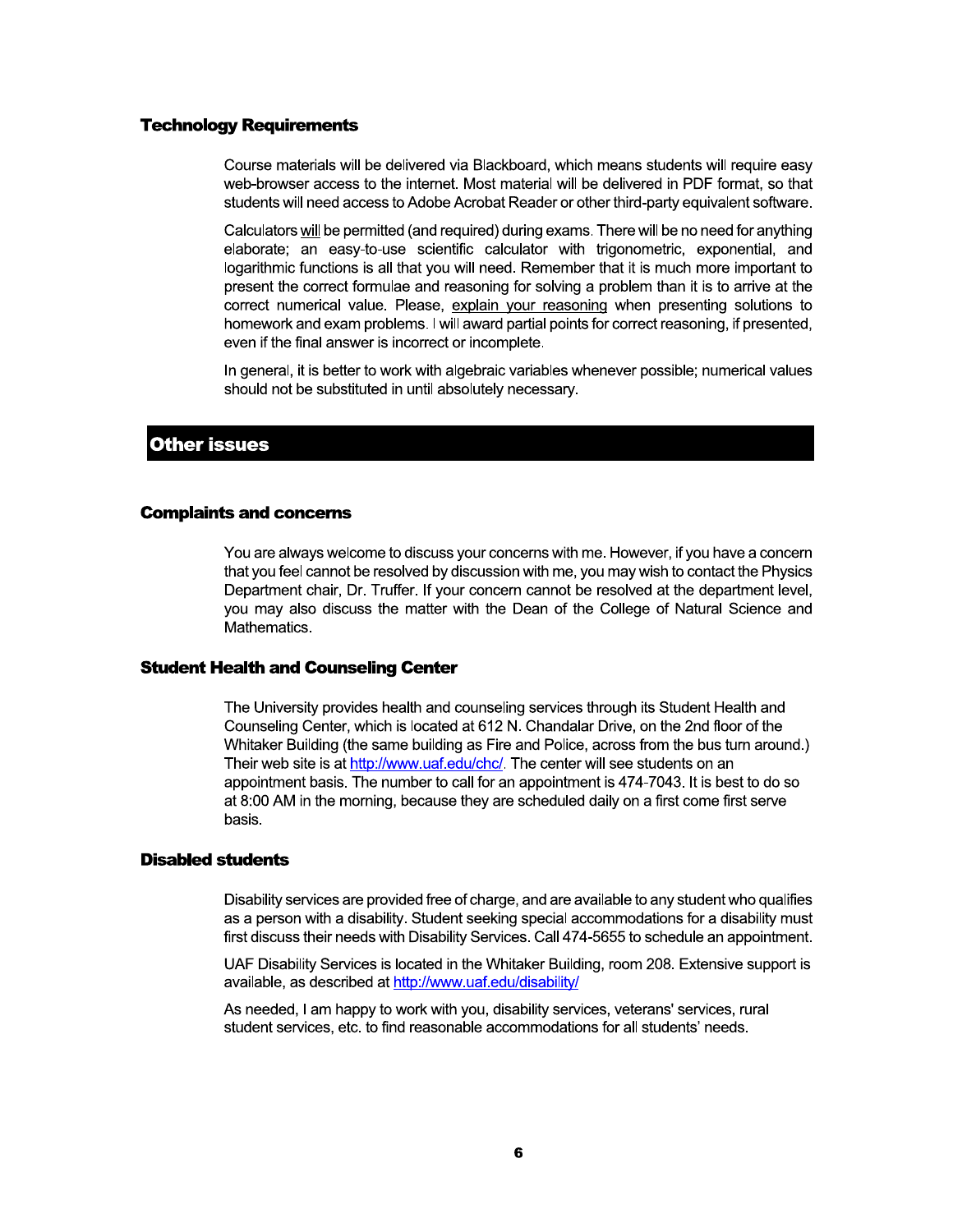#### **Technology Requirements**

Course materials will be delivered via Blackboard, which means students will require easy web-browser access to the internet. Most material will be delivered in PDF format, so that students will need access to Adobe Acrobat Reader or other third-party equivalent software.

Calculators will be permitted (and required) during exams. There will be no need for anything elaborate; an easy-to-use scientific calculator with trigonometric, exponential, and logarithmic functions is all that you will need. Remember that it is much more important to present the correct formulae and reasoning for solving a problem than it is to arrive at the correct numerical value. Please, explain your reasoning when presenting solutions to homework and exam problems. I will award partial points for correct reasoning, if presented, even if the final answer is incorrect or incomplete.

In general, it is better to work with algebraic variables whenever possible; numerical values should not be substituted in until absolutely necessary.

#### **Other issues**

#### **Complaints and concerns**

You are always welcome to discuss your concerns with me. However, if you have a concern that you feel cannot be resolved by discussion with me, you may wish to contact the Physics Department chair, Dr. Truffer. If your concern cannot be resolved at the department level, you may also discuss the matter with the Dean of the College of Natural Science and Mathematics.

#### **Student Health and Counseling Center**

The University provides health and counseling services through its Student Health and Counseling Center, which is located at 612 N. Chandalar Drive, on the 2nd floor of the Whitaker Building (the same building as Fire and Police, across from the bus turn around.) Their web site is at http://www.uaf.edu/chc/. The center will see students on an appointment basis. The number to call for an appointment is 474-7043. It is best to do so at 8:00 AM in the morning, because they are scheduled daily on a first come first serve basis.

#### **Disabled students**

Disability services are provided free of charge, and are available to any student who qualifies as a person with a disability. Student seeking special accommodations for a disability must first discuss their needs with Disability Services. Call 474-5655 to schedule an appointment.

UAF Disability Services is located in the Whitaker Building, room 208. Extensive support is available, as described at http://www.uaf.edu/disability/

As needed, I am happy to work with you, disability services, veterans' services, rural student services, etc. to find reasonable accommodations for all students' needs.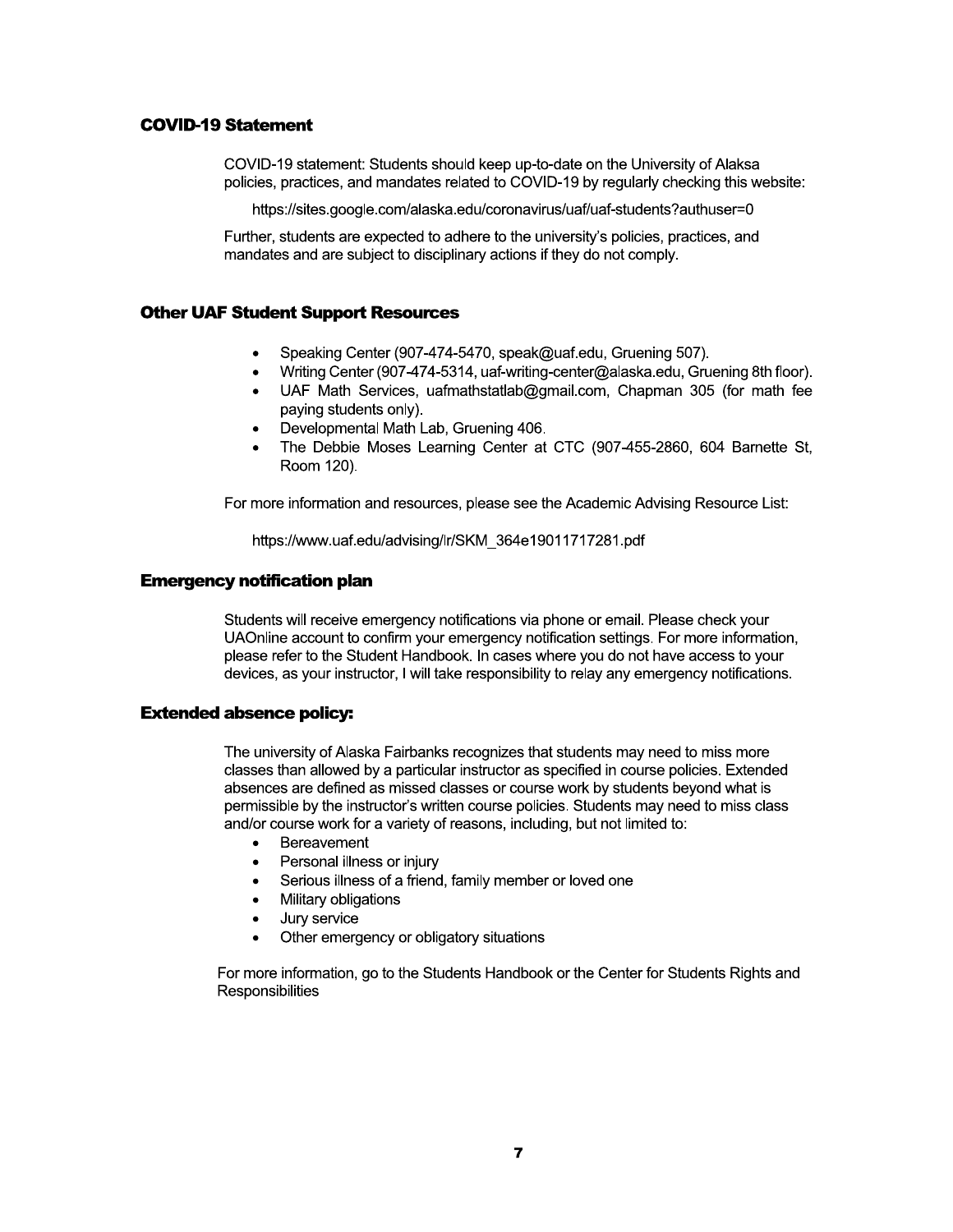#### **COVID-19 Statement**

COVID-19 statement: Students should keep up-to-date on the University of Alaksa policies, practices, and mandates related to COVID-19 by regularly checking this website:

https://sites.google.com/alaska.edu/coronavirus/uaf/uaf-students?authuser=0

Further, students are expected to adhere to the university's policies, practices, and mandates and are subject to disciplinary actions if they do not comply.

#### **Other UAF Student Support Resources**

- Speaking Center (907-474-5470, speak@uaf.edu, Gruening 507).
- Writing Center (907-474-5314, uaf-writing-center@alaska.edu, Gruening 8th floor).  $\bullet$
- UAF Math Services, uafmathstatlab@gmail.com, Chapman 305 (for math fee paying students only).
- Developmental Math Lab, Gruening 406.
- The Debbie Moses Learning Center at CTC (907-455-2860, 604 Barnette St. Room 120).

For more information and resources, please see the Academic Advising Resource List:

https://www.uaf.edu/advising/lr/SKM 364e19011717281.pdf

#### **Emergency notification plan**

Students will receive emergency notifications via phone or email. Please check your UAOnline account to confirm your emergency notification settings. For more information, please refer to the Student Handbook. In cases where you do not have access to your devices, as your instructor, I will take responsibility to relay any emergency notifications.

#### **Extended absence policy:**

The university of Alaska Fairbanks recognizes that students may need to miss more classes than allowed by a particular instructor as specified in course policies. Extended absences are defined as missed classes or course work by students beyond what is permissible by the instructor's written course policies. Students may need to miss class and/or course work for a variety of reasons, including, but not limited to:

- Bereavement  $\bullet$
- $\bullet$ Personal illness or injury
- $\bullet$ Serious illness of a friend, family member or loved one
- Military obligations
- Jury service  $\bullet$
- Other emergency or obligatory situations

For more information, go to the Students Handbook or the Center for Students Rights and Responsibilities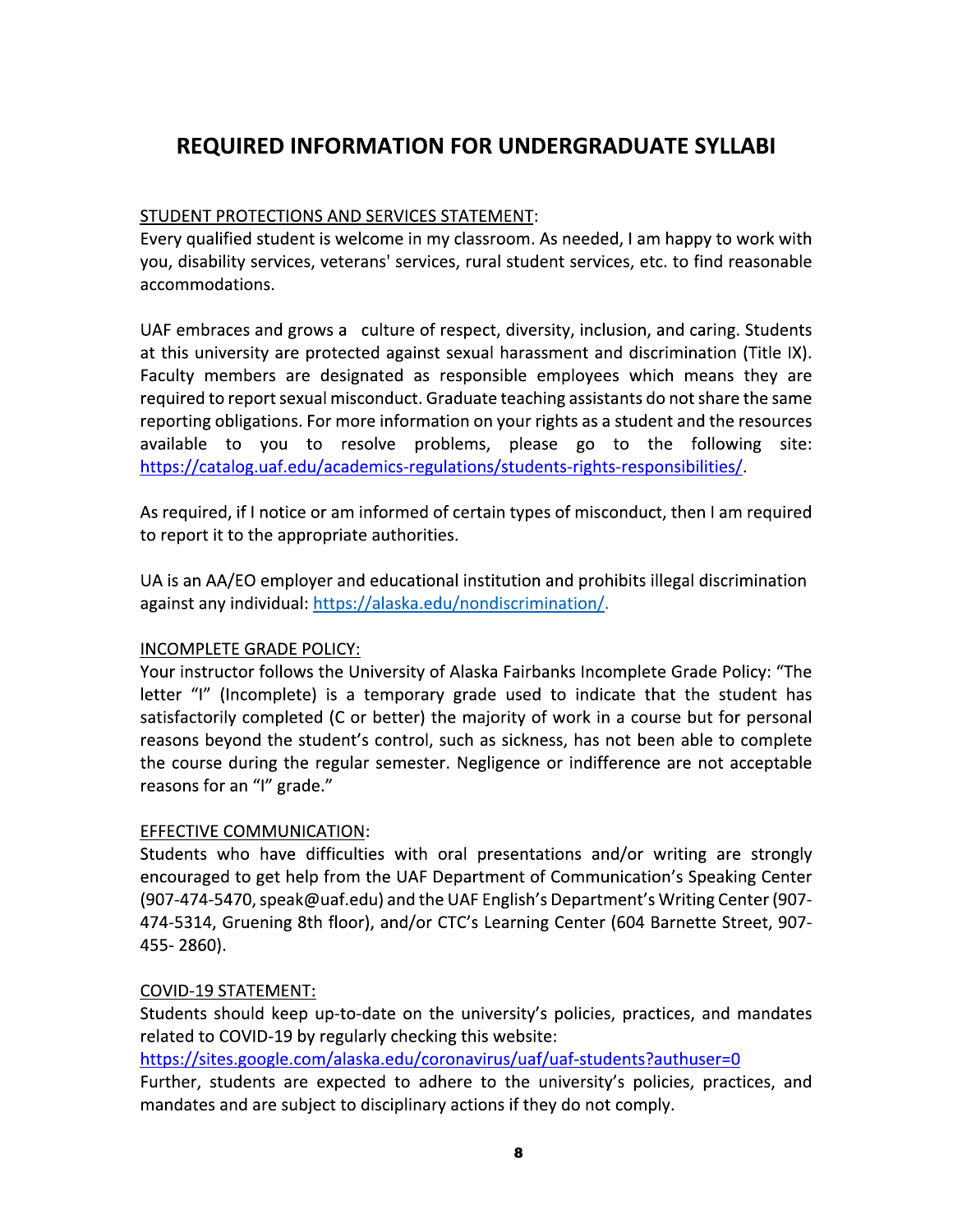## **REQUIRED INFORMATION FOR UNDERGRADUATE SYLLABI**

## STUDENT PROTECTIONS AND SERVICES STATEMENT:

Every qualified student is welcome in my classroom. As needed, I am happy to work with you, disability services, veterans' services, rural student services, etc. to find reasonable accommodations.

UAF embraces and grows a culture of respect, diversity, inclusion, and caring. Students at this university are protected against sexual harassment and discrimination (Title IX). Faculty members are designated as responsible employees which means they are required to report sexual misconduct. Graduate teaching assistants do not share the same reporting obligations. For more information on your rights as a student and the resources available to you to resolve problems, please go to the following site: https://catalog.uaf.edu/academics-regulations/students-rights-responsibilities/

As required, if I notice or am informed of certain types of misconduct, then I am required to report it to the appropriate authorities.

UA is an AA/EO employer and educational institution and prohibits illegal discrimination against any individual: https://alaska.edu/nondiscrimination/.

## INCOMPLETE GRADE POLICY:

Your instructor follows the University of Alaska Fairbanks Incomplete Grade Policy: "The letter "I" (Incomplete) is a temporary grade used to indicate that the student has satisfactorily completed (C or better) the majority of work in a course but for personal reasons beyond the student's control, such as sickness, has not been able to complete the course during the regular semester. Negligence or indifference are not acceptable reasons for an "I" grade."

## **EFFECTIVE COMMUNICATION:**

Students who have difficulties with oral presentations and/or writing are strongly encouraged to get help from the UAF Department of Communication's Speaking Center (907-474-5470, speak@uaf.edu) and the UAF English's Department's Writing Center (907-474-5314, Gruening 8th floor), and/or CTC's Learning Center (604 Barnette Street, 907-455-2860).

## **COVID-19 STATEMENT:**

Students should keep up-to-date on the university's policies, practices, and mandates related to COVID-19 by regularly checking this website:

https://sites.google.com/alaska.edu/coronavirus/uaf/uaf-students?authuser=0

Further, students are expected to adhere to the university's policies, practices, and mandates and are subject to disciplinary actions if they do not comply.